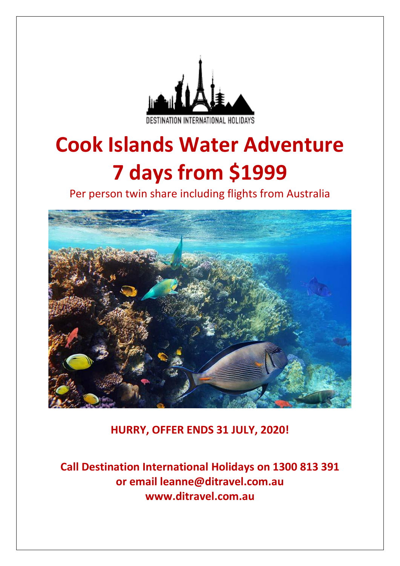

# **Cook Islands Water Adventure 7 days from \$1999**

Per person twin share including flights from Australia



**HURRY, OFFER ENDS 31 JULY, 2020!**

**Call Destination International Holidays on 1300 813 391 or email leanne@ditravel.com.au www.ditravel.com.au**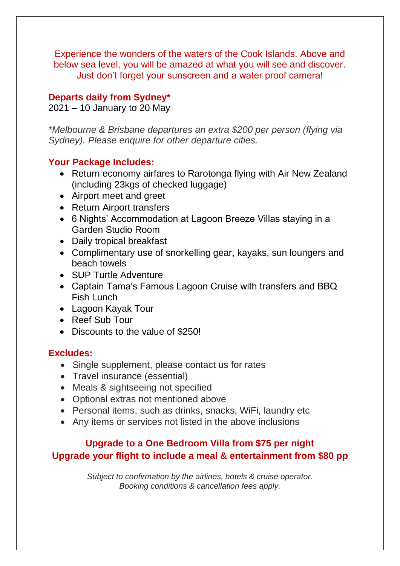Experience the wonders of the waters of the Cook Islands. Above and below sea level, you will be amazed at what you will see and discover. Just don't forget your sunscreen and a water proof camera!

## **Departs daily from Sydney\***

2021 – 10 January to 20 May

*\*Melbourne & Brisbane departures an extra \$200 per person (flying via Sydney). Please enquire for other departure cities.*

## **Your Package Includes:**

- Return economy airfares to Rarotonga flying with Air New Zealand (including 23kgs of checked luggage)
- Airport meet and greet
- Return Airport transfers
- 6 Nights' Accommodation at Lagoon Breeze Villas staying in a Garden Studio Room
- Daily tropical breakfast
- Complimentary use of snorkelling gear, kayaks, sun loungers and beach towels
- SUP Turtle Adventure
- Captain Tama's Famous Lagoon Cruise with transfers and BBQ Fish Lunch
- Lagoon Kayak Tour
- Reef Sub Tour
- Discounts to the value of \$250!

## **Excludes:**

- Single supplement, please contact us for rates
- Travel insurance (essential)
- Meals & sightseeing not specified
- Optional extras not mentioned above
- Personal items, such as drinks, snacks, WiFi, laundry etc
- Any items or services not listed in the above inclusions

# **Upgrade to a One Bedroom Villa from \$75 per night Upgrade your flight to include a meal & entertainment from \$80 pp**

*Subject to confirmation by the airlines, hotels & cruise operator. Booking conditions & cancellation fees apply.*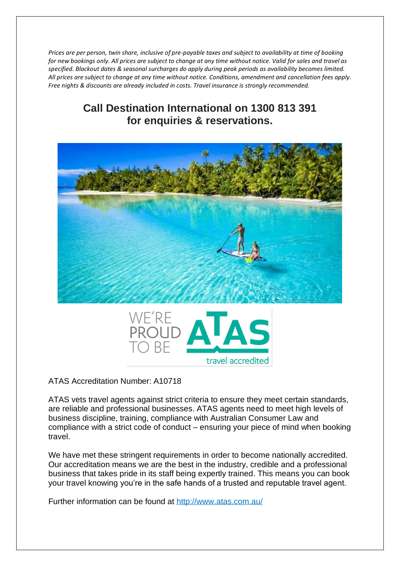*Prices are per person, twin share, inclusive of pre-payable taxes and subject to availability at time of booking for new bookings only. All prices are subject to change at any time without notice. Valid for sales and travel as specified. Blackout dates & seasonal surcharges do apply during peak periods as availability becomes limited. All prices are subject to change at any time without notice. Conditions, amendment and cancellation fees apply. Free nights & discounts are already included in costs. Travel insurance is strongly recommended.*

# **Call Destination International on 1300 813 391 for enquiries & reservations.**





ATAS Accreditation Number: A10718

ATAS vets travel agents against strict criteria to ensure they meet certain standards, are reliable and professional businesses. ATAS agents need to meet high levels of business discipline, training, compliance with Australian Consumer Law and compliance with a strict code of conduct – ensuring your piece of mind when booking travel.

We have met these stringent requirements in order to become nationally accredited. Our accreditation means we are the best in the industry, credible and a professional business that takes pride in its staff being expertly trained. This means you can book your travel knowing you're in the safe hands of a trusted and reputable travel agent.

Further information can be found at<http://www.atas.com.au/>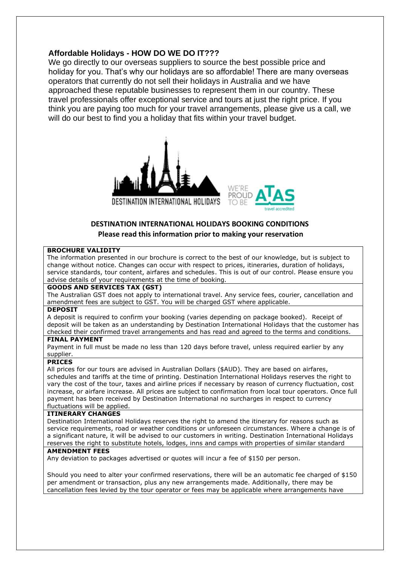## **Affordable Holidays - HOW DO WE DO IT???**

We go directly to our overseas suppliers to source the best possible price and holiday for you. That's why our holidays are so affordable! There are many overseas operators that currently do not sell their holidays in Australia and we have approached these reputable businesses to represent them in our country. These travel professionals offer exceptional service and tours at just the right price. If you think you are paying too much for your travel arrangements, please give us a call, we will do our best to find you a holiday that fits within your travel budget.



## **DESTINATION INTERNATIONAL HOLIDAYS BOOKING CONDITIONS Please read this information prior to making your reservation**

#### **BROCHURE VALIDITY**

The information presented in our brochure is correct to the best of our knowledge, but is subject to change without notice. Changes can occur with respect to prices, itineraries, duration of holidays, service standards, tour content, airfares and schedules. This is out of our control. Please ensure you advise details of your requirements at the time of booking.

## **GOODS AND SERVICES TAX (GST)**

The Australian GST does not apply to international travel. Any service fees, courier, cancellation and amendment fees are subject to GST. You will be charged GST where applicable.

#### **DEPOSIT**

A deposit is required to confirm your booking (varies depending on package booked). Receipt of deposit will be taken as an understanding by Destination International Holidays that the customer has checked their confirmed travel arrangements and has read and agreed to the terms and conditions.

#### **FINAL PAYMENT**

Payment in full must be made no less than 120 days before travel, unless required earlier by any supplier.

#### **PRICES**

All prices for our tours are advised in Australian Dollars (\$AUD). They are based on airfares, schedules and tariffs at the time of printing. Destination International Holidays reserves the right to vary the cost of the tour, taxes and airline prices if necessary by reason of currency fluctuation, cost increase, or airfare increase. All prices are subject to confirmation from local tour operators. Once full payment has been received by Destination International no surcharges in respect to currency fluctuations will be applied.

#### **ITINERARY CHANGES**

Destination International Holidays reserves the right to amend the itinerary for reasons such as service requirements, road or weather conditions or unforeseen circumstances. Where a change is of a significant nature, it will be advised to our customers in writing. Destination International Holidays reserves the right to substitute hotels, lodges, inns and camps with properties of similar standard

#### **AMENDMENT FEES**

Any deviation to packages advertised or quotes will incur a fee of \$150 per person.

Should you need to alter your confirmed reservations, there will be an automatic fee charged of \$150 per amendment or transaction, plus any new arrangements made. Additionally, there may be cancellation fees levied by the tour operator or fees may be applicable where arrangements have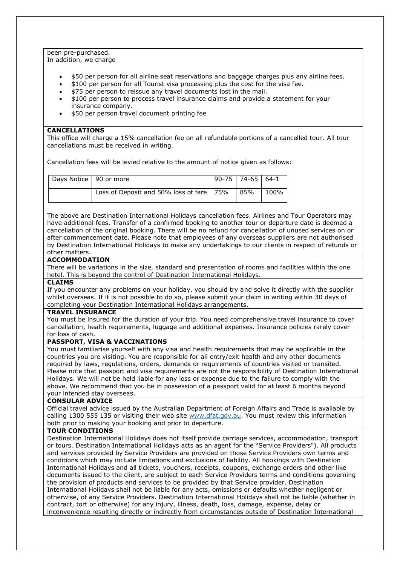#### been pre-purchased. In addition, we charge

- \$50 per person for all airline seat reservations and baggage charges plus any airline fees.
- \$100 per person for all Tourist visa processing plus the cost for the visa fee.
- \$75 per person to reissue any travel documents lost in the mail.
- \$100 per person to process travel insurance claims and provide a statement for your insurance company.
- \$50 per person travel document printing fee

#### **CANCELLATIONS**

This office will charge a 15% cancellation fee on all refundable portions of a cancelled tour. All tour cancellations must be received in writing.

Cancellation fees will be levied relative to the amount of notice given as follows:

| Days Notice   90 or more |                                            | $90-75$ 74-65 64-1 |         |
|--------------------------|--------------------------------------------|--------------------|---------|
|                          | Loss of Deposit and 50% loss of fare   75% | l 85%              | $100\%$ |

The above are Destination International Holidays cancellation fees. Airlines and Tour Operators may have additional fees. Transfer of a confirmed booking to another tour or departure date is deemed a cancellation of the original booking. There will be no refund for cancellation of unused services on or after commencement date. Please note that employees of any overseas suppliers are not authorised by Destination International Holidays to make any undertakings to our clients in respect of refunds or other matters.

#### **ACCOMMODATION**

There will be variations in the size, standard and presentation of rooms and facilities within the one hotel. This is beyond the control of Destination International Holidays.

#### **CLAIMS**

If you encounter any problems on your holiday, you should try and solve it directly with the supplier whilst overseas. If it is not possible to do so, please submit your claim in writing within 30 days of completing your Destination International Holidays arrangements.

#### **TRAVEL INSURANCE**

You must be insured for the duration of your trip. You need comprehensive travel insurance to cover cancellation, health requirements, luggage and additional expenses. Insurance policies rarely cover for loss of cash.

#### **PASSPORT, VISA & VACCINATIONS**

You must familiarise yourself with any visa and health requirements that may be applicable in the countries you are visiting. You are responsible for all entry/exit health and any other documents required by laws, regulations, orders, demands or requirements of countries visited or transited. Please note that passport and visa requirements are not the responsibility of Destination International Holidays. We will not be held liable for any loss or expense due to the failure to comply with the above. We recommend that you be in possession of a passport valid for at least 6 months beyond your intended stay overseas.

#### **CONSULAR ADVICE**

Official travel advice issued by the Australian Department of Foreign Affairs and Trade is available by calling 1300 555 135 or visiting their web site [www.dfat.gov.au.](http://www.dfat.gov.au/) You must review this information both prior to making your booking and prior to departure.

#### **TOUR CONDITIONS**

Destination International Holidays does not itself provide carriage services, accommodation, transport or tours. Destination International Holidays acts as an agent for the "Service Providers"). All products and services provided by Service Providers are provided on those Service Providers own terms and conditions which may include limitations and exclusions of liability. All bookings with Destination International Holidays and all tickets, vouchers, receipts, coupons, exchange orders and other like documents issued to the client, are subject to each Service Providers terms and conditions governing the provision of products and services to be provided by that Service provider. Destination International Holidays shall not be liable for any acts, omissions or defaults whether negligent or otherwise, of any Service Providers. Destination International Holidays shall not be liable (whether in contract, tort or otherwise) for any injury, illness, death, loss, damage, expense, delay or inconvenience resulting directly or indirectly from circumstances outside of Destination International